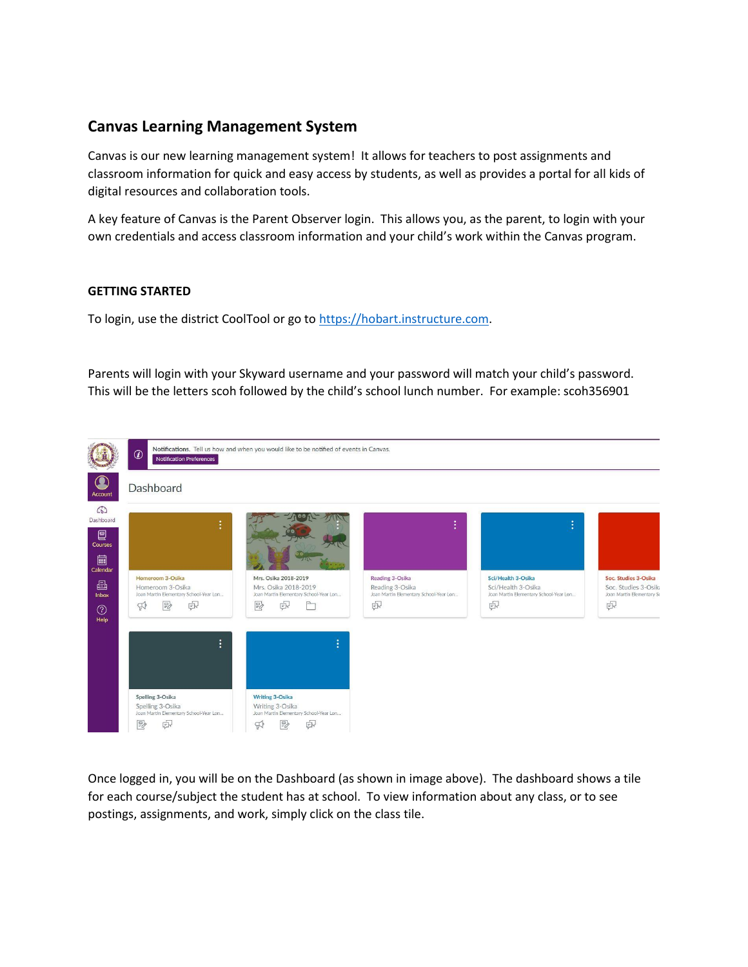## **Canvas Learning Management System**

Canvas is our new learning management system! It allows for teachers to post assignments and classroom information for quick and easy access by students, as well as provides a portal for all kids of digital resources and collaboration tools.

A key feature of Canvas is the Parent Observer login. This allows you, as the parent, to login with your own credentials and access classroom information and your child's work within the Canvas program.

## **GETTING STARTED**

To login, use the district CoolTool or go to [https://hobart.instructure.com.](https://hobart.instructure.com/)

Parents will login with your Skyward username and your password will match your child's password. This will be the letters scoh followed by the child's school lunch number. For example: scoh356901



Once logged in, you will be on the Dashboard (as shown in image above). The dashboard shows a tile for each course/subject the student has at school. To view information about any class, or to see postings, assignments, and work, simply click on the class tile.